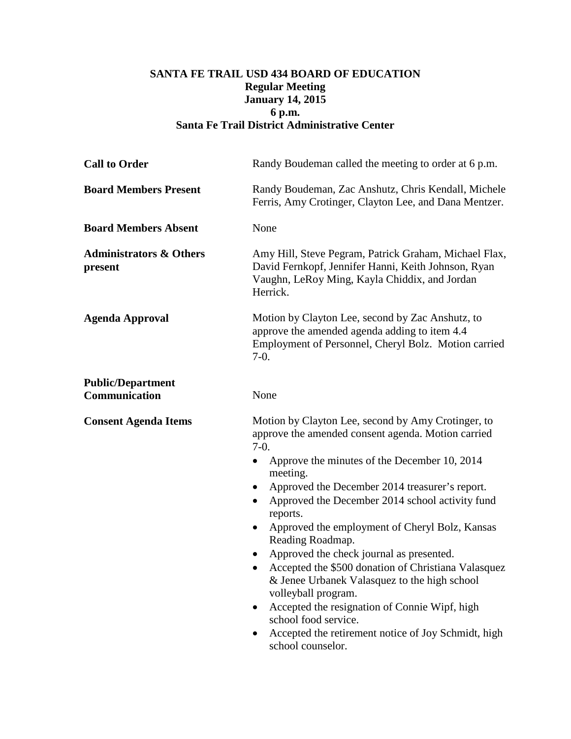## **SANTA FE TRAIL USD 434 BOARD OF EDUCATION Regular Meeting January 14, 2015 6 p.m. Santa Fe Trail District Administrative Center**

| Randy Boudeman called the meeting to order at 6 p.m.                                                                                                                                                                                                                                                                                                                                                                                                                                                                                                                                                                                                                                                              |
|-------------------------------------------------------------------------------------------------------------------------------------------------------------------------------------------------------------------------------------------------------------------------------------------------------------------------------------------------------------------------------------------------------------------------------------------------------------------------------------------------------------------------------------------------------------------------------------------------------------------------------------------------------------------------------------------------------------------|
| Randy Boudeman, Zac Anshutz, Chris Kendall, Michele<br>Ferris, Amy Crotinger, Clayton Lee, and Dana Mentzer.                                                                                                                                                                                                                                                                                                                                                                                                                                                                                                                                                                                                      |
| None                                                                                                                                                                                                                                                                                                                                                                                                                                                                                                                                                                                                                                                                                                              |
| Amy Hill, Steve Pegram, Patrick Graham, Michael Flax,<br>David Fernkopf, Jennifer Hanni, Keith Johnson, Ryan<br>Vaughn, LeRoy Ming, Kayla Chiddix, and Jordan<br>Herrick.                                                                                                                                                                                                                                                                                                                                                                                                                                                                                                                                         |
| Motion by Clayton Lee, second by Zac Anshutz, to<br>approve the amended agenda adding to item 4.4<br>Employment of Personnel, Cheryl Bolz. Motion carried<br>$7-0.$                                                                                                                                                                                                                                                                                                                                                                                                                                                                                                                                               |
| None                                                                                                                                                                                                                                                                                                                                                                                                                                                                                                                                                                                                                                                                                                              |
| Motion by Clayton Lee, second by Amy Crotinger, to<br>approve the amended consent agenda. Motion carried<br>$7-0.$<br>Approve the minutes of the December 10, 2014<br>meeting.<br>Approved the December 2014 treasurer's report.<br>Approved the December 2014 school activity fund<br>reports.<br>Approved the employment of Cheryl Bolz, Kansas<br>$\bullet$<br>Reading Roadmap.<br>Approved the check journal as presented.<br>Accepted the \$500 donation of Christiana Valasquez<br>& Jenee Urbanek Valasquez to the high school<br>volleyball program.<br>Accepted the resignation of Connie Wipf, high<br>school food service.<br>Accepted the retirement notice of Joy Schmidt, high<br>school counselor. |
|                                                                                                                                                                                                                                                                                                                                                                                                                                                                                                                                                                                                                                                                                                                   |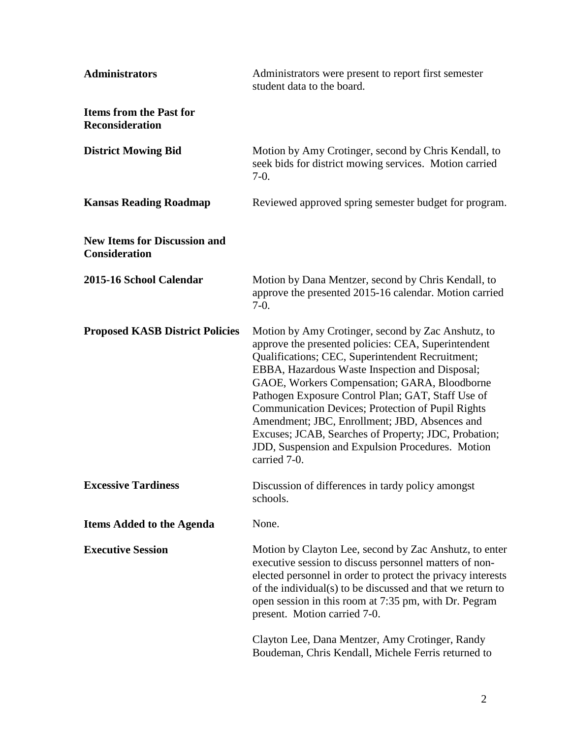| <b>Administrators</b>                                       | Administrators were present to report first semester<br>student data to the board.                                                                                                                                                                                                                                                                                                                                                                                                                                                                     |
|-------------------------------------------------------------|--------------------------------------------------------------------------------------------------------------------------------------------------------------------------------------------------------------------------------------------------------------------------------------------------------------------------------------------------------------------------------------------------------------------------------------------------------------------------------------------------------------------------------------------------------|
| <b>Items from the Past for</b><br><b>Reconsideration</b>    |                                                                                                                                                                                                                                                                                                                                                                                                                                                                                                                                                        |
| <b>District Mowing Bid</b>                                  | Motion by Amy Crotinger, second by Chris Kendall, to<br>seek bids for district mowing services. Motion carried<br>$7-0.$                                                                                                                                                                                                                                                                                                                                                                                                                               |
| <b>Kansas Reading Roadmap</b>                               | Reviewed approved spring semester budget for program.                                                                                                                                                                                                                                                                                                                                                                                                                                                                                                  |
| <b>New Items for Discussion and</b><br><b>Consideration</b> |                                                                                                                                                                                                                                                                                                                                                                                                                                                                                                                                                        |
| 2015-16 School Calendar                                     | Motion by Dana Mentzer, second by Chris Kendall, to<br>approve the presented 2015-16 calendar. Motion carried<br>$7-0.$                                                                                                                                                                                                                                                                                                                                                                                                                                |
| <b>Proposed KASB District Policies</b>                      | Motion by Amy Crotinger, second by Zac Anshutz, to<br>approve the presented policies: CEA, Superintendent<br>Qualifications; CEC, Superintendent Recruitment;<br>EBBA, Hazardous Waste Inspection and Disposal;<br>GAOE, Workers Compensation; GARA, Bloodborne<br>Pathogen Exposure Control Plan; GAT, Staff Use of<br>Communication Devices; Protection of Pupil Rights<br>Amendment; JBC, Enrollment; JBD, Absences and<br>Excuses; JCAB, Searches of Property; JDC, Probation;<br>JDD, Suspension and Expulsion Procedures. Motion<br>carried 7-0. |
| <b>Excessive Tardiness</b>                                  | Discussion of differences in tardy policy amongst<br>schools.                                                                                                                                                                                                                                                                                                                                                                                                                                                                                          |
| <b>Items Added to the Agenda</b>                            | None.                                                                                                                                                                                                                                                                                                                                                                                                                                                                                                                                                  |
| <b>Executive Session</b>                                    | Motion by Clayton Lee, second by Zac Anshutz, to enter<br>executive session to discuss personnel matters of non-<br>elected personnel in order to protect the privacy interests<br>of the individual(s) to be discussed and that we return to<br>open session in this room at 7:35 pm, with Dr. Pegram<br>present. Motion carried 7-0.<br>Clayton Lee, Dana Mentzer, Amy Crotinger, Randy                                                                                                                                                              |
|                                                             | Boudeman, Chris Kendall, Michele Ferris returned to                                                                                                                                                                                                                                                                                                                                                                                                                                                                                                    |